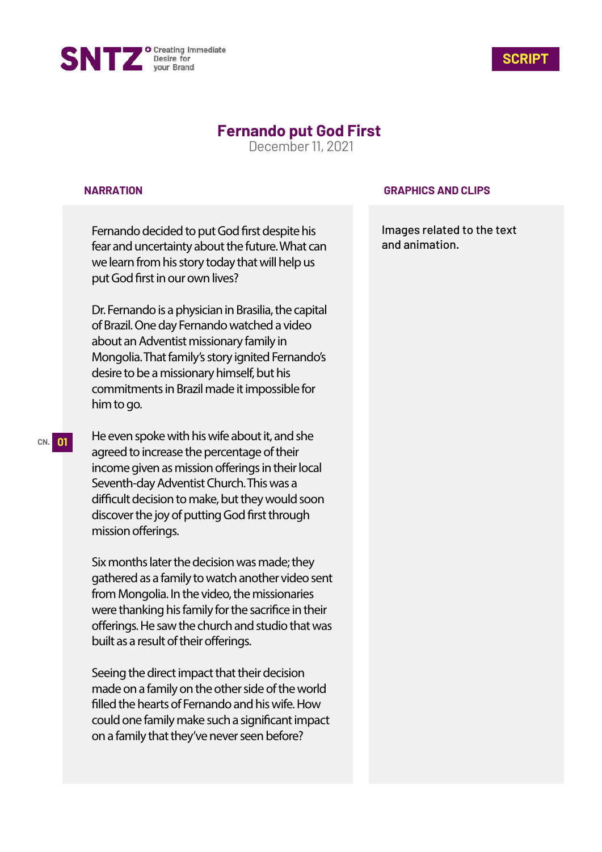



# **Fernando put God First**

December 11, 2021

### **NARRATION**

Fernando decided to put God first despite his fear and uncertainty about the future. What can we learn from his story today that will help us put God first in our own lives?

Dr. Fernando is a physician in Brasilia, the capital of Brazil. One day Fernando watched a video about an Adventist missionary family in Mongolia. That family's story ignited Fernando's desire to be a missionary himself, but his commitments in Brazil made it impossible for him to go.

He even spoke with his wife about it, and she agreed to increase the percentage of their income given as mission offerings in their local Seventh-day Adventist Church. This was a difficult decision to make, but they would soon discover the joy of putting God first through mission offerings.

Six months later the decision was made; they gathered as a family to watch another video sent from Mongolia. In the video, the missionaries were thanking his family for the sacrifice in their offerings. He saw the church and studio that was built as a result of their offerings.

Seeing the direct impact that their decision made on a family on the other side of the world filled the hearts of Fernando and his wife. How could one family make such a significant impact on a family that they've never seen before?

### **GRAPHICS AND CLIPS**

Images related to the text and animation.